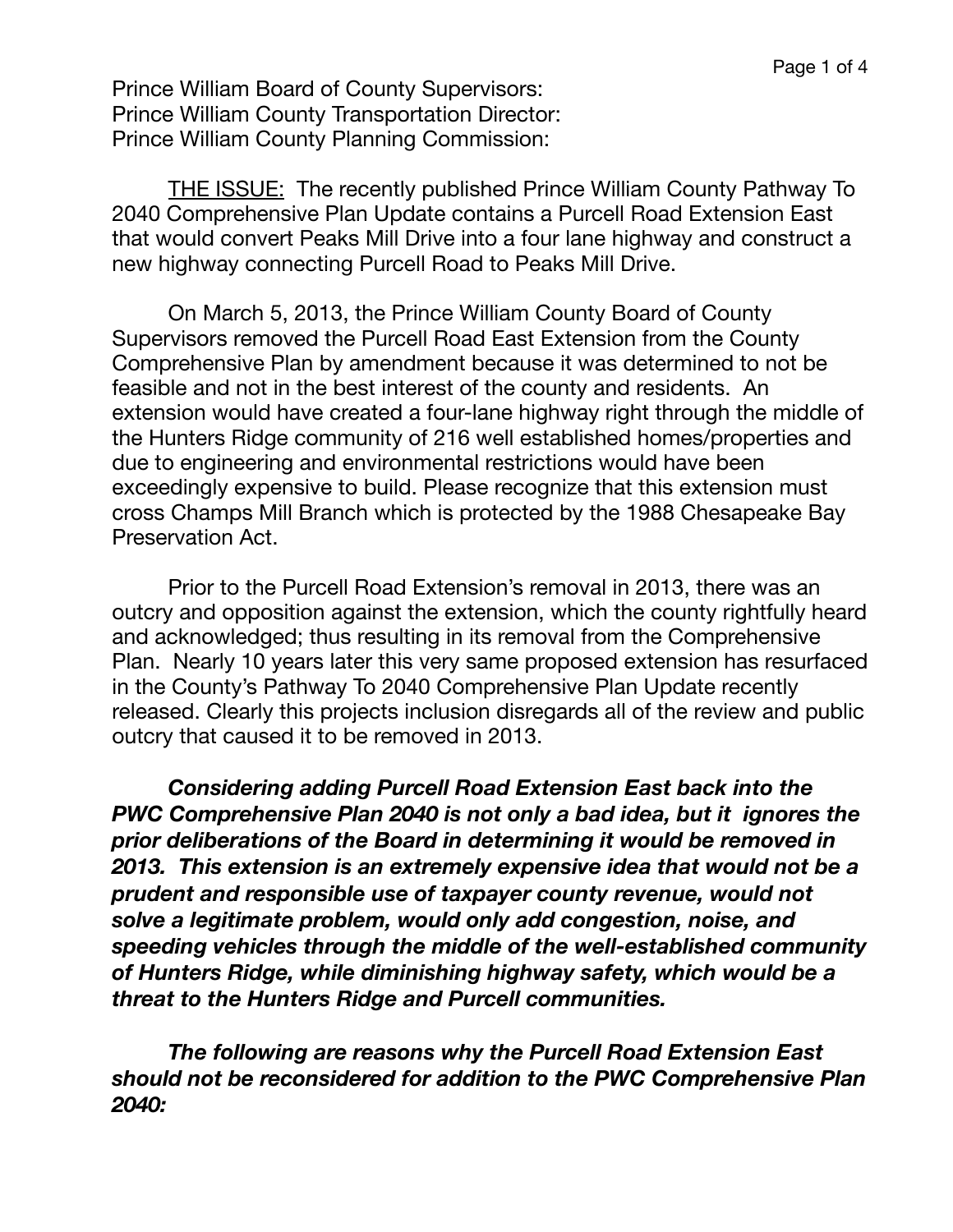Prince William Board of County Supervisors: Prince William County Transportation Director: Prince William County Planning Commission:

THE ISSUE: The recently published Prince William County Pathway To 2040 Comprehensive Plan Update contains a Purcell Road Extension East that would convert Peaks Mill Drive into a four lane highway and construct a new highway connecting Purcell Road to Peaks Mill Drive.

On March 5, 2013, the Prince William County Board of County Supervisors removed the Purcell Road East Extension from the County Comprehensive Plan by amendment because it was determined to not be feasible and not in the best interest of the county and residents. An extension would have created a four-lane highway right through the middle of the Hunters Ridge community of 216 well established homes/properties and due to engineering and environmental restrictions would have been exceedingly expensive to build. Please recognize that this extension must cross Champs Mill Branch which is protected by the 1988 Chesapeake Bay Preservation Act.

Prior to the Purcell Road Extension's removal in 2013, there was an outcry and opposition against the extension, which the county rightfully heard and acknowledged; thus resulting in its removal from the Comprehensive Plan. Nearly 10 years later this very same proposed extension has resurfaced in the County's Pathway To 2040 Comprehensive Plan Update recently released. Clearly this projects inclusion disregards all of the review and public outcry that caused it to be removed in 2013.

*Considering adding Purcell Road Extension East back into the PWC Comprehensive Plan 2040 is not only a bad idea, but it ignores the prior deliberations of the Board in determining it would be removed in 2013. This extension is an extremely expensive idea that would not be a prudent and responsible use of taxpayer county revenue, would not solve a legitimate problem, would only add congestion, noise, and speeding vehicles through the middle of the well-established community of Hunters Ridge, while diminishing highway safety, which would be a threat to the Hunters Ridge and Purcell communities.* 

*The following are reasons why the Purcell Road Extension East should not be reconsidered for addition to the PWC Comprehensive Plan 2040:*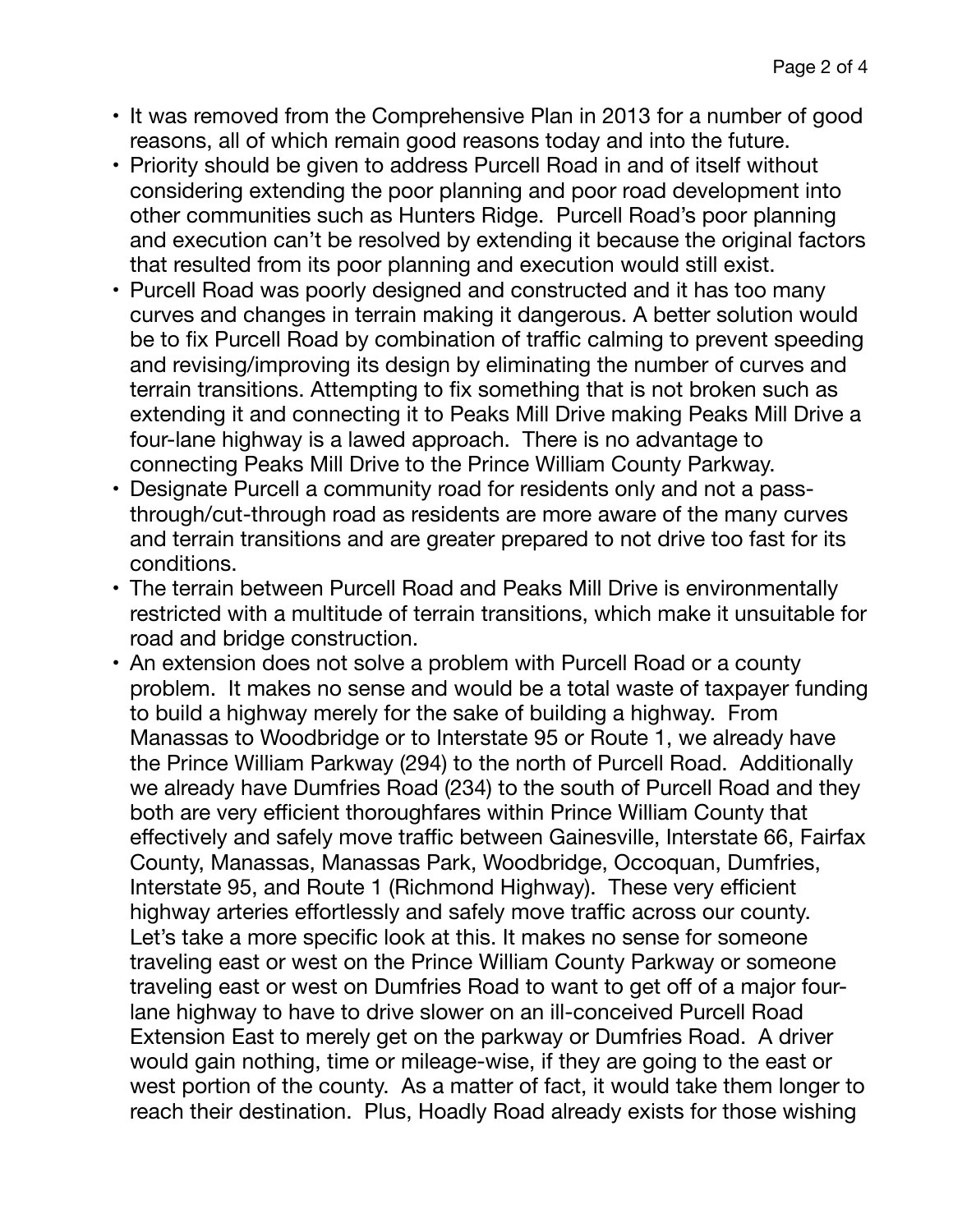- It was removed from the Comprehensive Plan in 2013 for a number of good reasons, all of which remain good reasons today and into the future.
- Priority should be given to address Purcell Road in and of itself without considering extending the poor planning and poor road development into other communities such as Hunters Ridge. Purcell Road's poor planning and execution can't be resolved by extending it because the original factors that resulted from its poor planning and execution would still exist.
- Purcell Road was poorly designed and constructed and it has too many curves and changes in terrain making it dangerous. A better solution would be to fix Purcell Road by combination of traffic calming to prevent speeding and revising/improving its design by eliminating the number of curves and terrain transitions. Attempting to fix something that is not broken such as extending it and connecting it to Peaks Mill Drive making Peaks Mill Drive a four-lane highway is a lawed approach. There is no advantage to connecting Peaks Mill Drive to the Prince William County Parkway.
- Designate Purcell a community road for residents only and not a passthrough/cut-through road as residents are more aware of the many curves and terrain transitions and are greater prepared to not drive too fast for its conditions.
- The terrain between Purcell Road and Peaks Mill Drive is environmentally restricted with a multitude of terrain transitions, which make it unsuitable for road and bridge construction.
- An extension does not solve a problem with Purcell Road or a county problem. It makes no sense and would be a total waste of taxpayer funding to build a highway merely for the sake of building a highway. From Manassas to Woodbridge or to Interstate 95 or Route 1, we already have the Prince William Parkway (294) to the north of Purcell Road. Additionally we already have Dumfries Road (234) to the south of Purcell Road and they both are very efficient thoroughfares within Prince William County that effectively and safely move traffic between Gainesville, Interstate 66, Fairfax County, Manassas, Manassas Park, Woodbridge, Occoquan, Dumfries, Interstate 95, and Route 1 (Richmond Highway). These very efficient highway arteries effortlessly and safely move traffic across our county. Let's take a more specific look at this. It makes no sense for someone traveling east or west on the Prince William County Parkway or someone traveling east or west on Dumfries Road to want to get off of a major fourlane highway to have to drive slower on an ill-conceived Purcell Road Extension East to merely get on the parkway or Dumfries Road. A driver would gain nothing, time or mileage-wise, if they are going to the east or west portion of the county. As a matter of fact, it would take them longer to reach their destination. Plus, Hoadly Road already exists for those wishing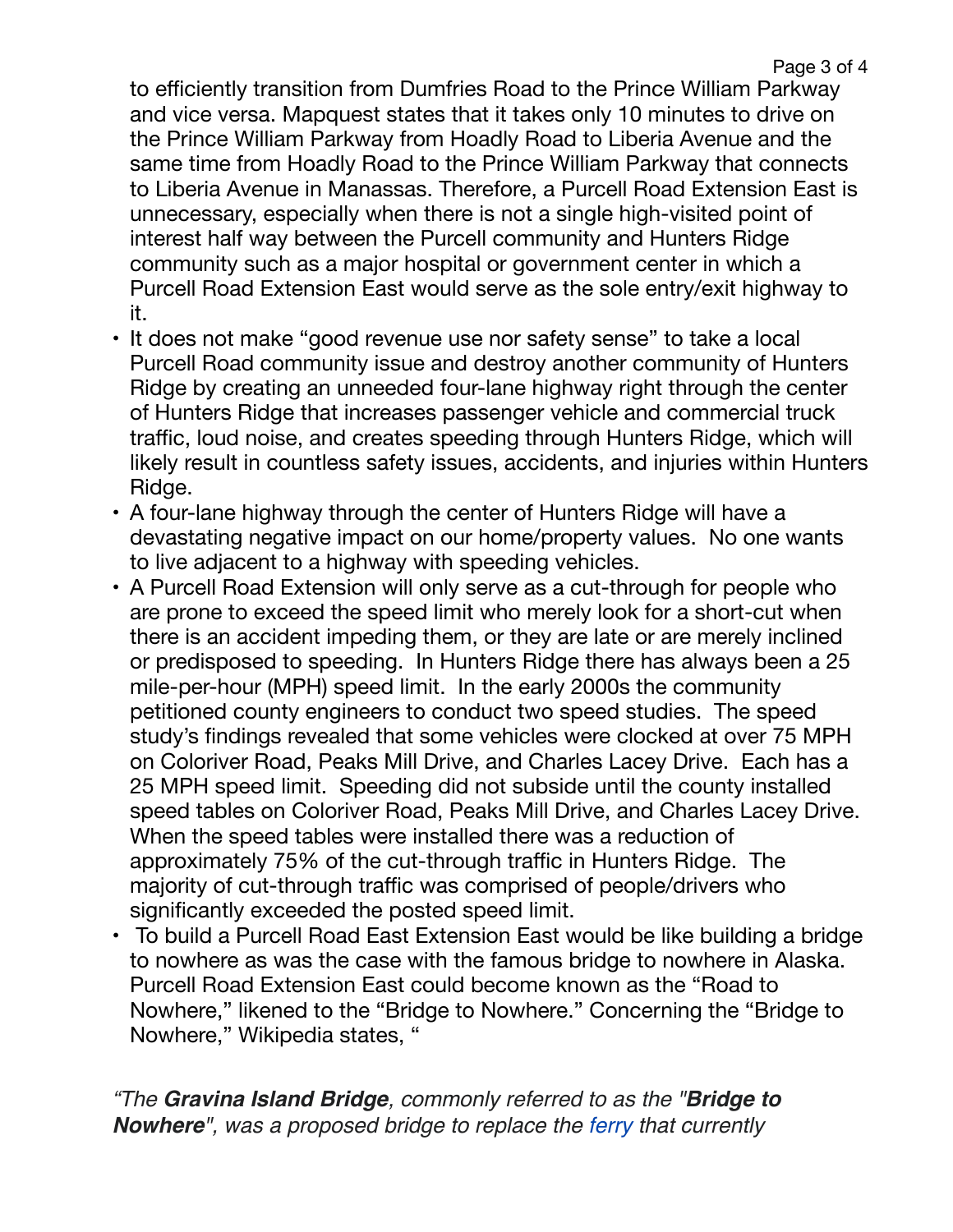to efficiently transition from Dumfries Road to the Prince William Parkway and vice versa. Mapquest states that it takes only 10 minutes to drive on the Prince William Parkway from Hoadly Road to Liberia Avenue and the same time from Hoadly Road to the Prince William Parkway that connects to Liberia Avenue in Manassas. Therefore, a Purcell Road Extension East is unnecessary, especially when there is not a single high-visited point of interest half way between the Purcell community and Hunters Ridge community such as a major hospital or government center in which a Purcell Road Extension East would serve as the sole entry/exit highway to it.

- It does not make "good revenue use nor safety sense" to take a local Purcell Road community issue and destroy another community of Hunters Ridge by creating an unneeded four-lane highway right through the center of Hunters Ridge that increases passenger vehicle and commercial truck traffic, loud noise, and creates speeding through Hunters Ridge, which will likely result in countless safety issues, accidents, and injuries within Hunters Ridge.
- A four-lane highway through the center of Hunters Ridge will have a devastating negative impact on our home/property values. No one wants to live adjacent to a highway with speeding vehicles.
- A Purcell Road Extension will only serve as a cut-through for people who are prone to exceed the speed limit who merely look for a short-cut when there is an accident impeding them, or they are late or are merely inclined or predisposed to speeding. In Hunters Ridge there has always been a 25 mile-per-hour (MPH) speed limit. In the early 2000s the community petitioned county engineers to conduct two speed studies. The speed study's findings revealed that some vehicles were clocked at over 75 MPH on Coloriver Road, Peaks Mill Drive, and Charles Lacey Drive. Each has a 25 MPH speed limit. Speeding did not subside until the county installed speed tables on Coloriver Road, Peaks Mill Drive, and Charles Lacey Drive. When the speed tables were installed there was a reduction of approximately 75% of the cut-through traffic in Hunters Ridge. The majority of cut-through traffic was comprised of people/drivers who significantly exceeded the posted speed limit.
- To build a Purcell Road East Extension East would be like building a bridge to nowhere as was the case with the famous bridge to nowhere in Alaska. Purcell Road Extension East could become known as the "Road to Nowhere," likened to the "Bridge to Nowhere." Concerning the "Bridge to Nowhere," Wikipedia states, "

*"The Gravina Island Bridge, commonly referred to as the "Bridge to Nowhere", was a proposed bridge to replace the [ferry](https://en.wikipedia.org/wiki/Ketchikan_International_Airport_Ferry) that currently*